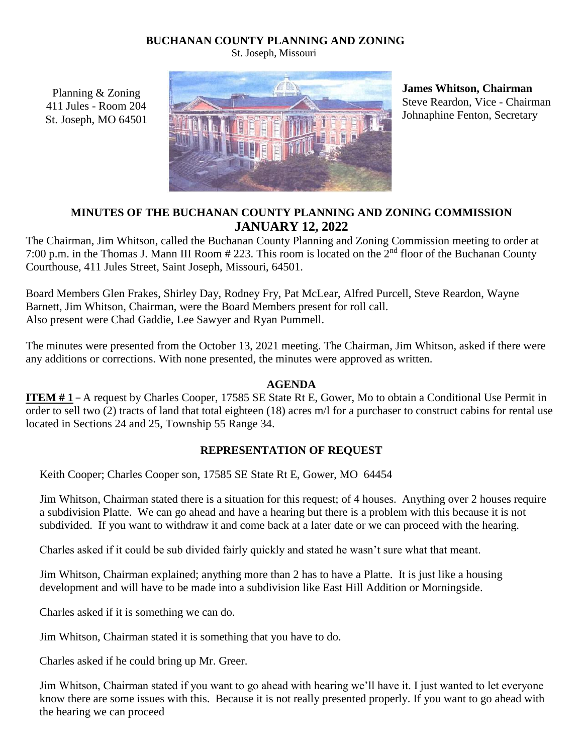### **BUCHANAN COUNTY PLANNING AND ZONING**

St. Joseph, Missouri



**James Whitson, Chairman**  Steve Reardon, Vice - Chairman Johnaphine Fenton, Secretary

## **MINUTES OF THE BUCHANAN COUNTY PLANNING AND ZONING COMMISSION JANUARY 12, 2022**

The Chairman, Jim Whitson, called the Buchanan County Planning and Zoning Commission meeting to order at 7:00 p.m. in the Thomas J. Mann III Room # 223. This room is located on the 2nd floor of the Buchanan County Courthouse, 411 Jules Street, Saint Joseph, Missouri, 64501.

Board Members Glen Frakes, Shirley Day, Rodney Fry, Pat McLear, Alfred Purcell, Steve Reardon, Wayne Barnett, Jim Whitson, Chairman, were the Board Members present for roll call. Also present were Chad Gaddie, Lee Sawyer and Ryan Pummell.

The minutes were presented from the October 13, 2021 meeting. The Chairman, Jim Whitson, asked if there were any additions or corrections. With none presented, the minutes were approved as written.

### **AGENDA**

**ITEM # 1 –** A request by Charles Cooper, 17585 SE State Rt E, Gower, Mo to obtain a Conditional Use Permit in order to sell two (2) tracts of land that total eighteen (18) acres m/l for a purchaser to construct cabins for rental use located in Sections 24 and 25, Township 55 Range 34.

# **REPRESENTATION OF REQUEST**

Keith Cooper; Charles Cooper son, 17585 SE State Rt E, Gower, MO 64454

Jim Whitson, Chairman stated there is a situation for this request; of 4 houses. Anything over 2 houses require a subdivision Platte. We can go ahead and have a hearing but there is a problem with this because it is not subdivided. If you want to withdraw it and come back at a later date or we can proceed with the hearing.

Charles asked if it could be sub divided fairly quickly and stated he wasn't sure what that meant.

Jim Whitson, Chairman explained; anything more than 2 has to have a Platte. It is just like a housing development and will have to be made into a subdivision like East Hill Addition or Morningside.

Charles asked if it is something we can do.

Planning & Zoning 411 Jules - Room 204 St. Joseph, MO 64501

Jim Whitson, Chairman stated it is something that you have to do.

Charles asked if he could bring up Mr. Greer.

Jim Whitson, Chairman stated if you want to go ahead with hearing we'll have it. I just wanted to let everyone know there are some issues with this. Because it is not really presented properly. If you want to go ahead with the hearing we can proceed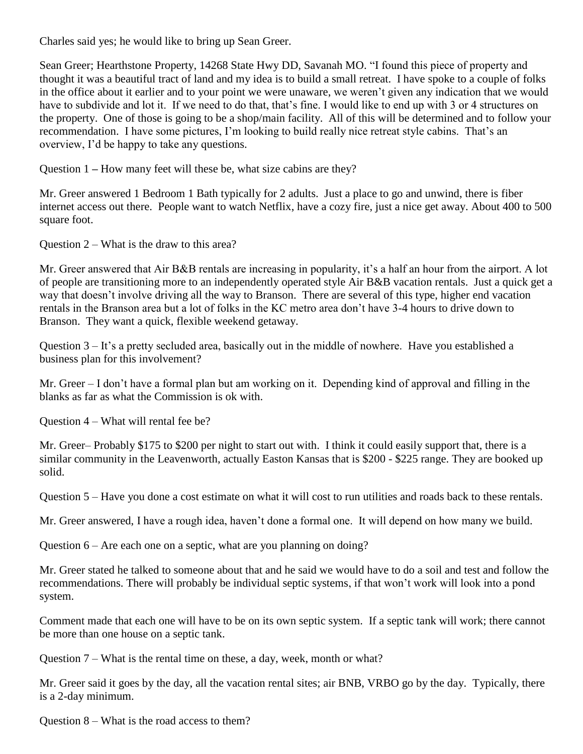Charles said yes; he would like to bring up Sean Greer.

Sean Greer; Hearthstone Property, 14268 State Hwy DD, Savanah MO. "I found this piece of property and thought it was a beautiful tract of land and my idea is to build a small retreat. I have spoke to a couple of folks in the office about it earlier and to your point we were unaware, we weren't given any indication that we would have to subdivide and lot it. If we need to do that, that's fine. I would like to end up with 3 or 4 structures on the property. One of those is going to be a shop/main facility. All of this will be determined and to follow your recommendation. I have some pictures, I'm looking to build really nice retreat style cabins. That's an overview, I'd be happy to take any questions.

Question 1 **–** How many feet will these be, what size cabins are they?

Mr. Greer answered 1 Bedroom 1 Bath typically for 2 adults. Just a place to go and unwind, there is fiber internet access out there. People want to watch Netflix, have a cozy fire, just a nice get away. About 400 to 500 square foot.

Question  $2 - What$  is the draw to this area?

Mr. Greer answered that Air B&B rentals are increasing in popularity, it's a half an hour from the airport. A lot of people are transitioning more to an independently operated style Air B&B vacation rentals. Just a quick get a way that doesn't involve driving all the way to Branson. There are several of this type, higher end vacation rentals in the Branson area but a lot of folks in the KC metro area don't have 3-4 hours to drive down to Branson. They want a quick, flexible weekend getaway.

Question 3 – It's a pretty secluded area, basically out in the middle of nowhere. Have you established a business plan for this involvement?

Mr. Greer – I don't have a formal plan but am working on it. Depending kind of approval and filling in the blanks as far as what the Commission is ok with.

Question 4 – What will rental fee be?

Mr. Greer– Probably \$175 to \$200 per night to start out with. I think it could easily support that, there is a similar community in the Leavenworth, actually Easton Kansas that is \$200 - \$225 range. They are booked up solid.

Question 5 – Have you done a cost estimate on what it will cost to run utilities and roads back to these rentals.

Mr. Greer answered, I have a rough idea, haven't done a formal one. It will depend on how many we build.

Question 6 – Are each one on a septic, what are you planning on doing?

Mr. Greer stated he talked to someone about that and he said we would have to do a soil and test and follow the recommendations. There will probably be individual septic systems, if that won't work will look into a pond system.

Comment made that each one will have to be on its own septic system. If a septic tank will work; there cannot be more than one house on a septic tank.

Question 7 – What is the rental time on these, a day, week, month or what?

Mr. Greer said it goes by the day, all the vacation rental sites; air BNB, VRBO go by the day. Typically, there is a 2-day minimum.

Question 8 – What is the road access to them?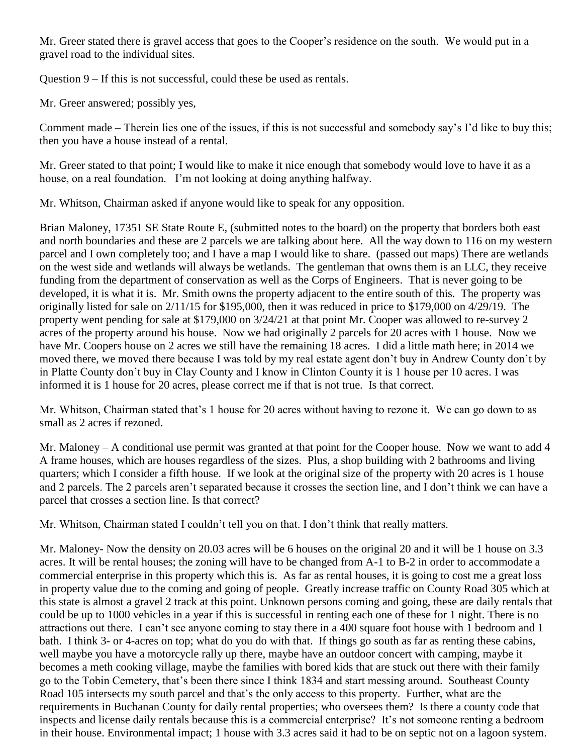Mr. Greer stated there is gravel access that goes to the Cooper's residence on the south. We would put in a gravel road to the individual sites.

Question 9 – If this is not successful, could these be used as rentals.

Mr. Greer answered; possibly yes,

Comment made – Therein lies one of the issues, if this is not successful and somebody say's I'd like to buy this; then you have a house instead of a rental.

Mr. Greer stated to that point; I would like to make it nice enough that somebody would love to have it as a house, on a real foundation. I'm not looking at doing anything halfway.

Mr. Whitson, Chairman asked if anyone would like to speak for any opposition.

Brian Maloney, 17351 SE State Route E, (submitted notes to the board) on the property that borders both east and north boundaries and these are 2 parcels we are talking about here. All the way down to 116 on my western parcel and I own completely too; and I have a map I would like to share. (passed out maps) There are wetlands on the west side and wetlands will always be wetlands. The gentleman that owns them is an LLC, they receive funding from the department of conservation as well as the Corps of Engineers. That is never going to be developed, it is what it is. Mr. Smith owns the property adjacent to the entire south of this. The property was originally listed for sale on 2/11/15 for \$195,000, then it was reduced in price to \$179,000 on 4/29/19. The property went pending for sale at \$179,000 on 3/24/21 at that point Mr. Cooper was allowed to re-survey 2 acres of the property around his house. Now we had originally 2 parcels for 20 acres with 1 house. Now we have Mr. Coopers house on 2 acres we still have the remaining 18 acres. I did a little math here; in 2014 we moved there, we moved there because I was told by my real estate agent don't buy in Andrew County don't by in Platte County don't buy in Clay County and I know in Clinton County it is 1 house per 10 acres. I was informed it is 1 house for 20 acres, please correct me if that is not true. Is that correct.

Mr. Whitson, Chairman stated that's 1 house for 20 acres without having to rezone it. We can go down to as small as 2 acres if rezoned.

Mr. Maloney – A conditional use permit was granted at that point for the Cooper house. Now we want to add 4 A frame houses, which are houses regardless of the sizes. Plus, a shop building with 2 bathrooms and living quarters; which I consider a fifth house. If we look at the original size of the property with 20 acres is 1 house and 2 parcels. The 2 parcels aren't separated because it crosses the section line, and I don't think we can have a parcel that crosses a section line. Is that correct?

Mr. Whitson, Chairman stated I couldn't tell you on that. I don't think that really matters.

Mr. Maloney- Now the density on 20.03 acres will be 6 houses on the original 20 and it will be 1 house on 3.3 acres. It will be rental houses; the zoning will have to be changed from A-1 to B-2 in order to accommodate a commercial enterprise in this property which this is. As far as rental houses, it is going to cost me a great loss in property value due to the coming and going of people. Greatly increase traffic on County Road 305 which at this state is almost a gravel 2 track at this point. Unknown persons coming and going, these are daily rentals that could be up to 1000 vehicles in a year if this is successful in renting each one of these for 1 night. There is no attractions out there. I can't see anyone coming to stay there in a 400 square foot house with 1 bedroom and 1 bath. I think 3- or 4-acres on top; what do you do with that. If things go south as far as renting these cabins, well maybe you have a motorcycle rally up there, maybe have an outdoor concert with camping, maybe it becomes a meth cooking village, maybe the families with bored kids that are stuck out there with their family go to the Tobin Cemetery, that's been there since I think 1834 and start messing around. Southeast County Road 105 intersects my south parcel and that's the only access to this property. Further, what are the requirements in Buchanan County for daily rental properties; who oversees them? Is there a county code that inspects and license daily rentals because this is a commercial enterprise? It's not someone renting a bedroom in their house. Environmental impact; 1 house with 3.3 acres said it had to be on septic not on a lagoon system.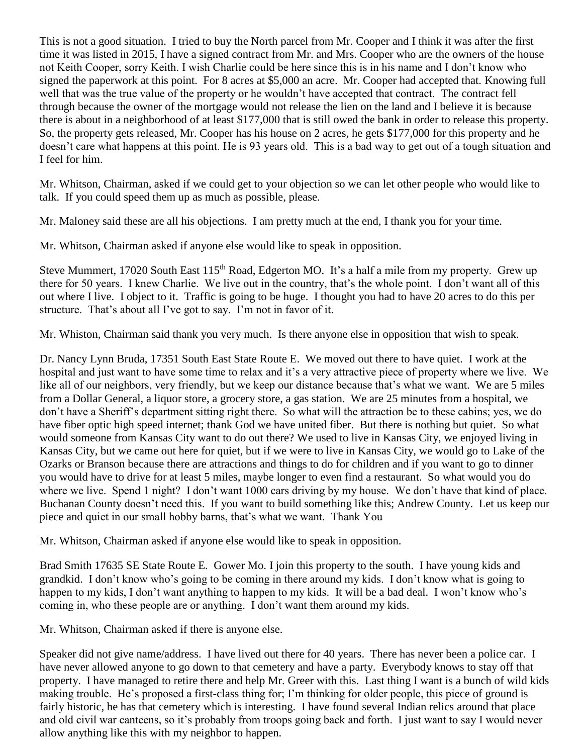This is not a good situation. I tried to buy the North parcel from Mr. Cooper and I think it was after the first time it was listed in 2015, I have a signed contract from Mr. and Mrs. Cooper who are the owners of the house not Keith Cooper, sorry Keith. I wish Charlie could be here since this is in his name and I don't know who signed the paperwork at this point. For 8 acres at \$5,000 an acre. Mr. Cooper had accepted that. Knowing full well that was the true value of the property or he wouldn't have accepted that contract. The contract fell through because the owner of the mortgage would not release the lien on the land and I believe it is because there is about in a neighborhood of at least \$177,000 that is still owed the bank in order to release this property. So, the property gets released, Mr. Cooper has his house on 2 acres, he gets \$177,000 for this property and he doesn't care what happens at this point. He is 93 years old. This is a bad way to get out of a tough situation and I feel for him.

Mr. Whitson, Chairman, asked if we could get to your objection so we can let other people who would like to talk. If you could speed them up as much as possible, please.

Mr. Maloney said these are all his objections. I am pretty much at the end, I thank you for your time.

Mr. Whitson, Chairman asked if anyone else would like to speak in opposition.

Steve Mummert, 17020 South East 115<sup>th</sup> Road, Edgerton MO. It's a half a mile from my property. Grew up there for 50 years. I knew Charlie. We live out in the country, that's the whole point. I don't want all of this out where I live. I object to it. Traffic is going to be huge. I thought you had to have 20 acres to do this per structure. That's about all I've got to say. I'm not in favor of it.

Mr. Whiston, Chairman said thank you very much. Is there anyone else in opposition that wish to speak.

Dr. Nancy Lynn Bruda, 17351 South East State Route E. We moved out there to have quiet. I work at the hospital and just want to have some time to relax and it's a very attractive piece of property where we live. We like all of our neighbors, very friendly, but we keep our distance because that's what we want. We are 5 miles from a Dollar General, a liquor store, a grocery store, a gas station. We are 25 minutes from a hospital, we don't have a Sheriff's department sitting right there. So what will the attraction be to these cabins; yes, we do have fiber optic high speed internet; thank God we have united fiber. But there is nothing but quiet. So what would someone from Kansas City want to do out there? We used to live in Kansas City, we enjoyed living in Kansas City, but we came out here for quiet, but if we were to live in Kansas City, we would go to Lake of the Ozarks or Branson because there are attractions and things to do for children and if you want to go to dinner you would have to drive for at least 5 miles, maybe longer to even find a restaurant. So what would you do where we live. Spend 1 night? I don't want 1000 cars driving by my house. We don't have that kind of place. Buchanan County doesn't need this. If you want to build something like this; Andrew County. Let us keep our piece and quiet in our small hobby barns, that's what we want. Thank You

Mr. Whitson, Chairman asked if anyone else would like to speak in opposition.

Brad Smith 17635 SE State Route E. Gower Mo. I join this property to the south. I have young kids and grandkid. I don't know who's going to be coming in there around my kids. I don't know what is going to happen to my kids, I don't want anything to happen to my kids. It will be a bad deal. I won't know who's coming in, who these people are or anything. I don't want them around my kids.

Mr. Whitson, Chairman asked if there is anyone else.

Speaker did not give name/address. I have lived out there for 40 years. There has never been a police car. I have never allowed anyone to go down to that cemetery and have a party. Everybody knows to stay off that property. I have managed to retire there and help Mr. Greer with this. Last thing I want is a bunch of wild kids making trouble. He's proposed a first-class thing for; I'm thinking for older people, this piece of ground is fairly historic, he has that cemetery which is interesting. I have found several Indian relics around that place and old civil war canteens, so it's probably from troops going back and forth. I just want to say I would never allow anything like this with my neighbor to happen.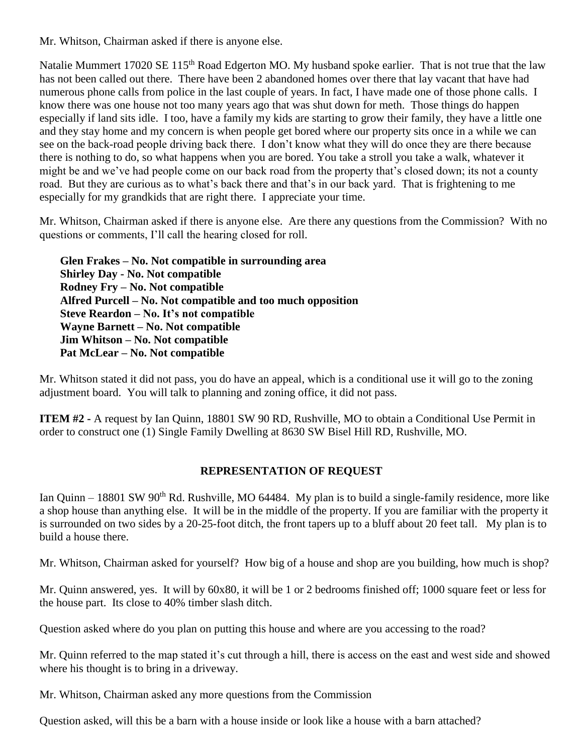Mr. Whitson, Chairman asked if there is anyone else.

Natalie Mummert 17020 SE 115<sup>th</sup> Road Edgerton MO. My husband spoke earlier. That is not true that the law has not been called out there. There have been 2 abandoned homes over there that lay vacant that have had numerous phone calls from police in the last couple of years. In fact, I have made one of those phone calls. I know there was one house not too many years ago that was shut down for meth. Those things do happen especially if land sits idle. I too, have a family my kids are starting to grow their family, they have a little one and they stay home and my concern is when people get bored where our property sits once in a while we can see on the back-road people driving back there. I don't know what they will do once they are there because there is nothing to do, so what happens when you are bored. You take a stroll you take a walk, whatever it might be and we've had people come on our back road from the property that's closed down; its not a county road. But they are curious as to what's back there and that's in our back yard. That is frightening to me especially for my grandkids that are right there. I appreciate your time.

Mr. Whitson, Chairman asked if there is anyone else. Are there any questions from the Commission? With no questions or comments, I'll call the hearing closed for roll.

**Glen Frakes – No. Not compatible in surrounding area Shirley Day - No. Not compatible Rodney Fry – No. Not compatible Alfred Purcell – No. Not compatible and too much opposition Steve Reardon – No. It's not compatible Wayne Barnett – No. Not compatible Jim Whitson – No. Not compatible Pat McLear – No. Not compatible**

Mr. Whitson stated it did not pass, you do have an appeal, which is a conditional use it will go to the zoning adjustment board. You will talk to planning and zoning office, it did not pass.

**ITEM #2 -** A request by Ian Quinn, 18801 SW 90 RD, Rushville, MO to obtain a Conditional Use Permit in order to construct one (1) Single Family Dwelling at 8630 SW Bisel Hill RD, Rushville, MO.

### **REPRESENTATION OF REQUEST**

Ian Quinn – 18801 SW 90<sup>th</sup> Rd. Rushville, MO 64484. My plan is to build a single-family residence, more like a shop house than anything else. It will be in the middle of the property. If you are familiar with the property it is surrounded on two sides by a 20-25-foot ditch, the front tapers up to a bluff about 20 feet tall. My plan is to build a house there.

Mr. Whitson, Chairman asked for yourself? How big of a house and shop are you building, how much is shop?

Mr. Quinn answered, yes. It will by 60x80, it will be 1 or 2 bedrooms finished off; 1000 square feet or less for the house part. Its close to 40% timber slash ditch.

Question asked where do you plan on putting this house and where are you accessing to the road?

Mr. Quinn referred to the map stated it's cut through a hill, there is access on the east and west side and showed where his thought is to bring in a driveway.

Mr. Whitson, Chairman asked any more questions from the Commission

Question asked, will this be a barn with a house inside or look like a house with a barn attached?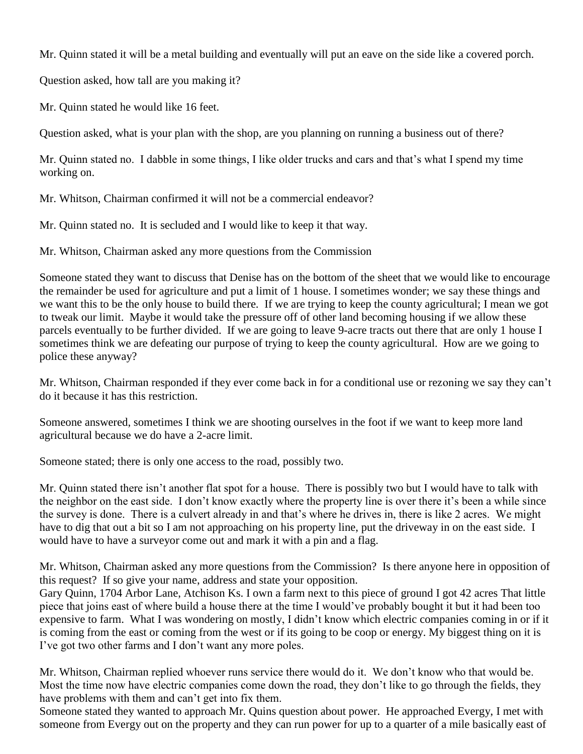Mr. Quinn stated it will be a metal building and eventually will put an eave on the side like a covered porch.

Question asked, how tall are you making it?

Mr. Quinn stated he would like 16 feet.

Question asked, what is your plan with the shop, are you planning on running a business out of there?

Mr. Quinn stated no. I dabble in some things, I like older trucks and cars and that's what I spend my time working on.

Mr. Whitson, Chairman confirmed it will not be a commercial endeavor?

Mr. Quinn stated no. It is secluded and I would like to keep it that way.

Mr. Whitson, Chairman asked any more questions from the Commission

Someone stated they want to discuss that Denise has on the bottom of the sheet that we would like to encourage the remainder be used for agriculture and put a limit of 1 house. I sometimes wonder; we say these things and we want this to be the only house to build there. If we are trying to keep the county agricultural; I mean we got to tweak our limit. Maybe it would take the pressure off of other land becoming housing if we allow these parcels eventually to be further divided. If we are going to leave 9-acre tracts out there that are only 1 house I sometimes think we are defeating our purpose of trying to keep the county agricultural. How are we going to police these anyway?

Mr. Whitson, Chairman responded if they ever come back in for a conditional use or rezoning we say they can't do it because it has this restriction.

Someone answered, sometimes I think we are shooting ourselves in the foot if we want to keep more land agricultural because we do have a 2-acre limit.

Someone stated; there is only one access to the road, possibly two.

Mr. Quinn stated there isn't another flat spot for a house. There is possibly two but I would have to talk with the neighbor on the east side. I don't know exactly where the property line is over there it's been a while since the survey is done. There is a culvert already in and that's where he drives in, there is like 2 acres. We might have to dig that out a bit so I am not approaching on his property line, put the driveway in on the east side. I would have to have a surveyor come out and mark it with a pin and a flag.

Mr. Whitson, Chairman asked any more questions from the Commission? Is there anyone here in opposition of this request? If so give your name, address and state your opposition.

Gary Quinn, 1704 Arbor Lane, Atchison Ks. I own a farm next to this piece of ground I got 42 acres That little piece that joins east of where build a house there at the time I would've probably bought it but it had been too expensive to farm. What I was wondering on mostly, I didn't know which electric companies coming in or if it is coming from the east or coming from the west or if its going to be coop or energy. My biggest thing on it is I've got two other farms and I don't want any more poles.

Mr. Whitson, Chairman replied whoever runs service there would do it. We don't know who that would be. Most the time now have electric companies come down the road, they don't like to go through the fields, they have problems with them and can't get into fix them.

Someone stated they wanted to approach Mr. Quins question about power. He approached Evergy, I met with someone from Evergy out on the property and they can run power for up to a quarter of a mile basically east of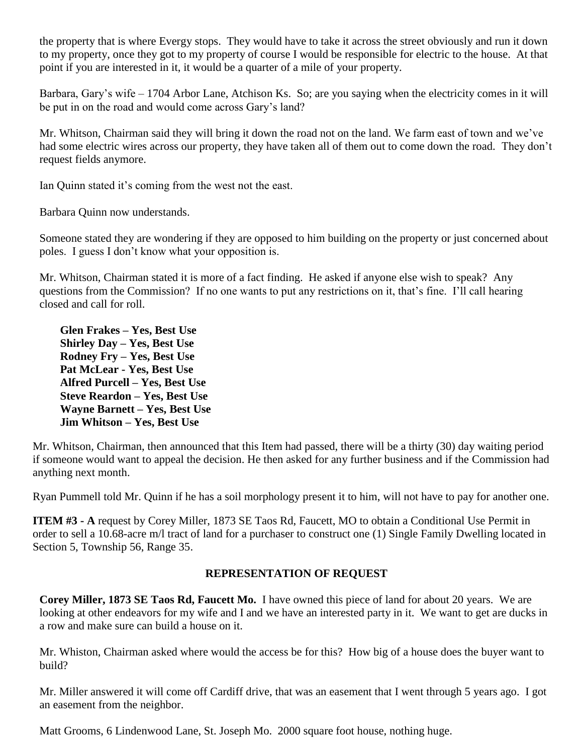the property that is where Evergy stops. They would have to take it across the street obviously and run it down to my property, once they got to my property of course I would be responsible for electric to the house. At that point if you are interested in it, it would be a quarter of a mile of your property.

Barbara, Gary's wife – 1704 Arbor Lane, Atchison Ks. So; are you saying when the electricity comes in it will be put in on the road and would come across Gary's land?

Mr. Whitson, Chairman said they will bring it down the road not on the land. We farm east of town and we've had some electric wires across our property, they have taken all of them out to come down the road. They don't request fields anymore.

Ian Quinn stated it's coming from the west not the east.

Barbara Quinn now understands.

Someone stated they are wondering if they are opposed to him building on the property or just concerned about poles. I guess I don't know what your opposition is.

Mr. Whitson, Chairman stated it is more of a fact finding. He asked if anyone else wish to speak? Any questions from the Commission? If no one wants to put any restrictions on it, that's fine. I'll call hearing closed and call for roll.

**Glen Frakes – Yes, Best Use Shirley Day – Yes, Best Use Rodney Fry – Yes, Best Use Pat McLear - Yes, Best Use Alfred Purcell – Yes, Best Use Steve Reardon – Yes, Best Use Wayne Barnett – Yes, Best Use Jim Whitson – Yes, Best Use**

Mr. Whitson, Chairman, then announced that this Item had passed, there will be a thirty (30) day waiting period if someone would want to appeal the decision. He then asked for any further business and if the Commission had anything next month.

Ryan Pummell told Mr. Quinn if he has a soil morphology present it to him, will not have to pay for another one.

**ITEM #3 - A** request by Corey Miller, 1873 SE Taos Rd, Faucett, MO to obtain a Conditional Use Permit in order to sell a 10.68-acre m/l tract of land for a purchaser to construct one (1) Single Family Dwelling located in Section 5, Township 56, Range 35.

### **REPRESENTATION OF REQUEST**

**Corey Miller, 1873 SE Taos Rd, Faucett Mo.** I have owned this piece of land for about 20 years. We are looking at other endeavors for my wife and I and we have an interested party in it. We want to get are ducks in a row and make sure can build a house on it.

Mr. Whiston, Chairman asked where would the access be for this? How big of a house does the buyer want to build?

Mr. Miller answered it will come off Cardiff drive, that was an easement that I went through 5 years ago. I got an easement from the neighbor.

Matt Grooms, 6 Lindenwood Lane, St. Joseph Mo. 2000 square foot house, nothing huge.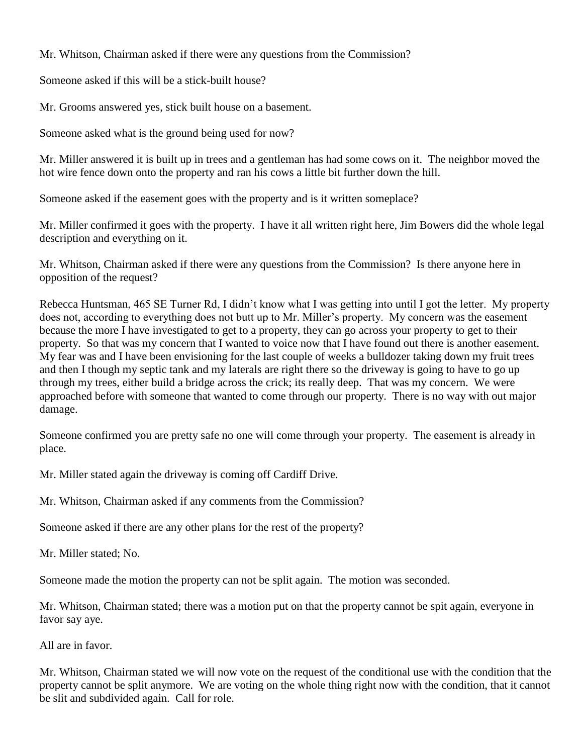Mr. Whitson, Chairman asked if there were any questions from the Commission?

Someone asked if this will be a stick-built house?

Mr. Grooms answered yes, stick built house on a basement.

Someone asked what is the ground being used for now?

Mr. Miller answered it is built up in trees and a gentleman has had some cows on it. The neighbor moved the hot wire fence down onto the property and ran his cows a little bit further down the hill.

Someone asked if the easement goes with the property and is it written someplace?

Mr. Miller confirmed it goes with the property. I have it all written right here, Jim Bowers did the whole legal description and everything on it.

Mr. Whitson, Chairman asked if there were any questions from the Commission? Is there anyone here in opposition of the request?

Rebecca Huntsman, 465 SE Turner Rd, I didn't know what I was getting into until I got the letter. My property does not, according to everything does not butt up to Mr. Miller's property. My concern was the easement because the more I have investigated to get to a property, they can go across your property to get to their property. So that was my concern that I wanted to voice now that I have found out there is another easement. My fear was and I have been envisioning for the last couple of weeks a bulldozer taking down my fruit trees and then I though my septic tank and my laterals are right there so the driveway is going to have to go up through my trees, either build a bridge across the crick; its really deep. That was my concern. We were approached before with someone that wanted to come through our property. There is no way with out major damage.

Someone confirmed you are pretty safe no one will come through your property. The easement is already in place.

Mr. Miller stated again the driveway is coming off Cardiff Drive.

Mr. Whitson, Chairman asked if any comments from the Commission?

Someone asked if there are any other plans for the rest of the property?

Mr. Miller stated; No.

Someone made the motion the property can not be split again. The motion was seconded.

Mr. Whitson, Chairman stated; there was a motion put on that the property cannot be spit again, everyone in favor say aye.

All are in favor.

Mr. Whitson, Chairman stated we will now vote on the request of the conditional use with the condition that the property cannot be split anymore. We are voting on the whole thing right now with the condition, that it cannot be slit and subdivided again. Call for role.